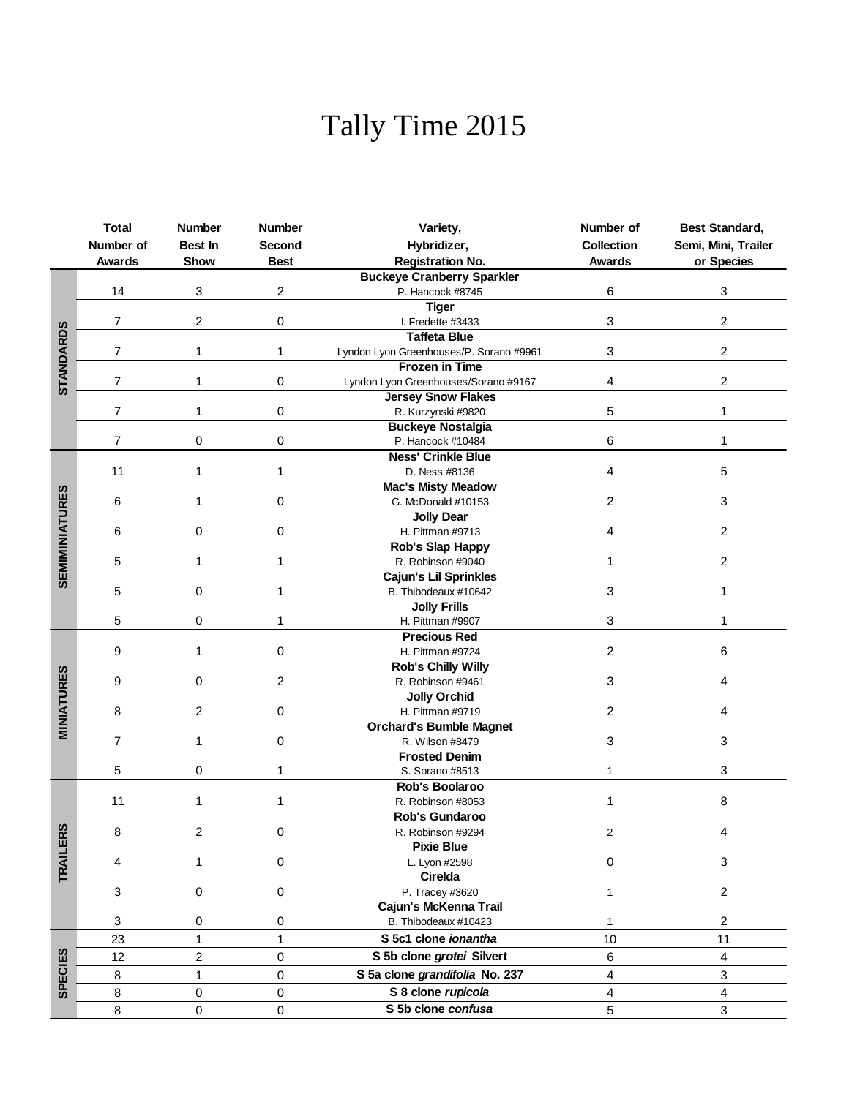## Tally Time 2015

|                       | <b>Total</b>   | <b>Number</b>                                             | <b>Number</b>         | Variety,                                              | Number of               | Best Standard,          |  |
|-----------------------|----------------|-----------------------------------------------------------|-----------------------|-------------------------------------------------------|-------------------------|-------------------------|--|
|                       | Number of      | Best In                                                   | Second                | Hybridizer,                                           | <b>Collection</b>       | Semi, Mini, Trailer     |  |
|                       | <b>Awards</b>  | Show                                                      | <b>Best</b>           | <b>Registration No.</b>                               | <b>Awards</b>           | or Species              |  |
|                       |                |                                                           |                       |                                                       |                         |                         |  |
|                       | 14             | 3                                                         | 2                     | <b>Buckeye Cranberry Sparkler</b><br>P. Hancock #8745 | 6                       | 3                       |  |
|                       |                |                                                           |                       | <b>Tiger</b>                                          |                         |                         |  |
| <b>STANDARDS</b>      | 7              | 2                                                         | 0                     | I. Fredette #3433                                     | 3                       | 2                       |  |
|                       |                |                                                           |                       | <b>Taffeta Blue</b>                                   |                         |                         |  |
|                       | 7              | 1                                                         | 1                     | Lyndon Lyon Greenhouses/P. Sorano #9961               | 3                       | $\overline{\mathbf{c}}$ |  |
|                       |                |                                                           | 0                     | <b>Frozen in Time</b>                                 |                         |                         |  |
|                       | 7              | 1                                                         |                       | Lyndon Lyon Greenhouses/Sorano #9167                  | 4                       | $\overline{c}$          |  |
|                       |                |                                                           |                       | <b>Jersey Snow Flakes</b>                             |                         |                         |  |
|                       | 7              | 1                                                         | 0                     | R. Kurzynski #9820                                    | 5                       | 1                       |  |
|                       |                |                                                           |                       | <b>Buckeye Nostalgia</b>                              | 6                       |                         |  |
|                       | $\overline{7}$ | 0<br>0<br>P. Hancock #10484                               |                       |                                                       |                         | 1                       |  |
|                       |                |                                                           |                       | <b>Ness' Crinkle Blue</b>                             |                         |                         |  |
|                       | 11             | 1                                                         | 1                     | D. Ness #8136                                         | 4                       | 5                       |  |
|                       |                |                                                           |                       | <b>Mac's Misty Meadow</b>                             |                         |                         |  |
|                       | 6              | 1                                                         | 0                     | G. McDonald #10153                                    | 2                       | $\sqrt{3}$              |  |
|                       |                |                                                           |                       | <b>Jolly Dear</b>                                     |                         |                         |  |
| <b>SEMIMINIATURES</b> | 6              | 0                                                         | 0                     | H. Pittman #9713                                      | 4                       | $\overline{c}$          |  |
|                       |                |                                                           |                       | Rob's Slap Happy                                      |                         |                         |  |
|                       | 5              | 1                                                         | 1                     | R. Robinson #9040                                     |                         | 2                       |  |
|                       | 5              | 0                                                         | 1                     | <b>Cajun's Lil Sprinkles</b><br>B. Thibodeaux #10642  | 3                       | 1                       |  |
|                       |                |                                                           |                       | <b>Jolly Frills</b>                                   |                         |                         |  |
|                       | 5              | 0                                                         | 1                     | H. Pittman #9907                                      | 3                       | 1                       |  |
|                       |                |                                                           |                       | <b>Precious Red</b>                                   |                         |                         |  |
|                       | 9              | 1                                                         | 0                     | H. Pittman #9724                                      | 2                       | 6                       |  |
|                       |                |                                                           |                       | <b>Rob's Chilly Willy</b>                             |                         |                         |  |
|                       |                | $\mathbf 0$<br>$\boldsymbol{2}$<br>9<br>R. Robinson #9461 |                       | 3                                                     | 4                       |                         |  |
| <b>MINIATURES</b>     |                |                                                           |                       | <b>Jolly Orchid</b>                                   |                         |                         |  |
|                       | 8              | 2                                                         | 0<br>H. Pittman #9719 |                                                       | 2                       | 4                       |  |
|                       |                |                                                           |                       | <b>Orchard's Bumble Magnet</b>                        |                         |                         |  |
|                       | 7              | 1                                                         | 0                     | R. Wilson #8479                                       | 3                       | 3                       |  |
|                       |                |                                                           |                       | <b>Frosted Denim</b>                                  |                         |                         |  |
|                       | 5<br>0         |                                                           | 1                     | S. Sorano #8513                                       | 1                       | 3                       |  |
|                       |                |                                                           |                       | Rob's Boolaroo                                        |                         |                         |  |
|                       | 11<br>1        |                                                           | 1                     | R. Robinson #8053                                     | 1                       | 8                       |  |
|                       |                |                                                           |                       | Rob's Gundaroo                                        |                         |                         |  |
| RS                    | 8              | $\overline{c}$                                            | 0                     | R. Robinson #9294                                     | $\overline{c}$          | 4                       |  |
|                       |                |                                                           |                       | <b>Pixie Blue</b>                                     |                         |                         |  |
| <b>TRAILE</b>         | 4              | 1                                                         | 0                     | L. Lyon #2598                                         | 0                       | 3                       |  |
|                       |                |                                                           |                       | Cirelda                                               |                         |                         |  |
|                       | 3              | 0                                                         | 0                     | P. Tracey #3620                                       | $\mathbf{1}$            | $\boldsymbol{2}$        |  |
|                       |                |                                                           |                       | Cajun's McKenna Trail                                 |                         |                         |  |
|                       | 3              | 0                                                         | 0                     | B. Thibodeaux #10423                                  | $\mathbf{1}$            | $\sqrt{2}$              |  |
|                       | 23             | 1                                                         | $\mathbf{1}$          | S 5c1 clone ionantha                                  | 10                      | 11                      |  |
|                       | 12             | $\overline{\mathbf{c}}$                                   | 0                     | S 5b clone grotei Silvert                             | 6                       | 4                       |  |
| <b>SPECIES</b>        | 8              | 1                                                         | 0                     | S 5a clone grandifolia No. 237                        | $\overline{\mathbf{4}}$ | 3                       |  |
|                       | 8              | 0                                                         | 0                     | S 8 clone rupicola                                    | $\overline{4}$          | 4                       |  |
|                       | 8              | 0                                                         | 0                     | S 5b clone confusa                                    | 5                       | 3                       |  |
|                       |                |                                                           |                       |                                                       |                         |                         |  |